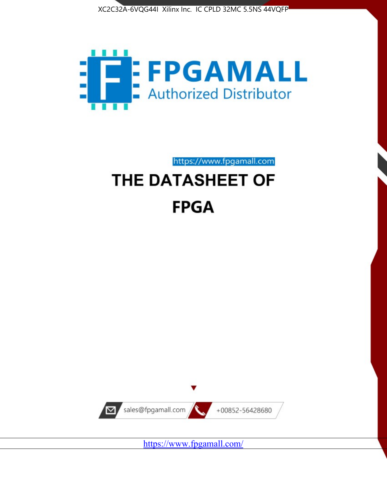



https://www.fpgamall.com

# THE DATASHEET OF **FPGA**



<https://www.fpgamall.com/>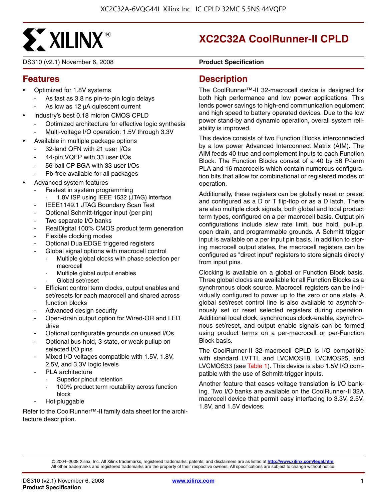

DS310 (v2.1) November 6, 2008 **DS310 (v2.1)** Product Specification

## **XC2C32A CoolRunner-II CPLD**

#### **Features**

- Optimized for 1.8V systems
	- As fast as 3.8 ns pin-to-pin logic delays
	- As low as 12 μA quiescent current
- Industry's best 0.18 micron CMOS CPLD
	- Optimized architecture for effective logic synthesis
	- Multi-voltage I/O operation: 1.5V through 3.3V
- Available in multiple package options
	- 32-land QFN with 21 user I/Os
	- 44-pin VQFP with 33 user I/Os
	- 56-ball CP BGA with 33 user I/Os
	- Pb-free available for all packages
- Advanced system features
	- Fastest in system programming
		- 1.8V ISP using IEEE 1532 (JTAG) interface
		- IEEE1149.1 JTAG Boundary Scan Test
	- Optional Schmitt-trigger input (per pin)
	- Two separate I/O banks
	- RealDigital 100% CMOS product term generation
	- Flexible clocking modes
	- Optional DualEDGE triggered registers
	- Global signal options with macrocell control
		- Multiple global clocks with phase selection per macrocell
		- Multiple global output enables
		- Global set/reset
	- Efficient control term clocks, output enables and set/resets for each macrocell and shared across function blocks
	- Advanced design security
	- Open-drain output option for Wired-OR and LED drive
	- Optional configurable grounds on unused I/Os
	- Optional bus-hold, 3-state, or weak pullup on selected I/O pins
	- Mixed I/O voltages compatible with 1.5V, 1.8V, 2.5V, and 3.3V logic levels
	- PLA architecture
		- Superior pinout retention
		- 100% product term routability across function block
	- Hot pluggable

Refer to the CoolRunner™-II family data sheet for the architecture description.

#### **Description**

The CoolRunner™-II 32-macrocell device is designed for both high performance and low power applications. This lends power savings to high-end communication equipment and high speed to battery operated devices. Due to the low power stand-by and dynamic operation, overall system reliability is improved.

This device consists of two Function Blocks interconnected by a low power Advanced Interconnect Matrix (AIM). The AIM feeds 40 true and complement inputs to each Function Block. The Function Blocks consist of a 40 by 56 P-term PLA and 16 macrocells which contain numerous configuration bits that allow for combinational or registered modes of operation.

Additionally, these registers can be globally reset or preset and configured as a D or T flip-flop or as a D latch. There are also multiple clock signals, both global and local product term types, configured on a per macrocell basis. Output pin configurations include slew rate limit, bus hold, pull-up, open drain, and programmable grounds. A Schmitt trigger input is available on a per input pin basis. In addition to storing macrocell output states, the macrocell registers can be configured as "direct input" registers to store signals directly from input pins.

Clocking is available on a global or Function Block basis. Three global clocks are available for all Function Blocks as a synchronous clock source. Macrocell registers can be individually configured to power up to the zero or one state. A global set/reset control line is also available to asynchronously set or reset selected registers during operation. Additional local clock, synchronous clock-enable, asynchronous set/reset, and output enable signals can be formed using product terms on a per-macrocell or per-Function Block basis.

The CoolRunner-II 32-macrocell CPLD is I/O compatible with standard LVTTL and LVCMOS18, LVCMOS25, and LVCMOS33 (see Table 1). This device is also 1.5V I/O compatible with the use of Schmitt-trigger inputs.

Another feature that eases voltage translation is I/O banking. Two I/O banks are available on the CoolRunner-II 32A macrocell device that permit easy interfacing to 3.3V, 2.5V, 1.8V, and 1.5V devices.

© 2004–2008 Xilinx, Inc. All Xilinx trademarks, registered trademarks, patents, and disclaimers are as listed at **<http://www.xilinx.com/legal.htm>**. All other trademarks and registered trademarks are the property of their respective owners. All specifications are subject to change without notice.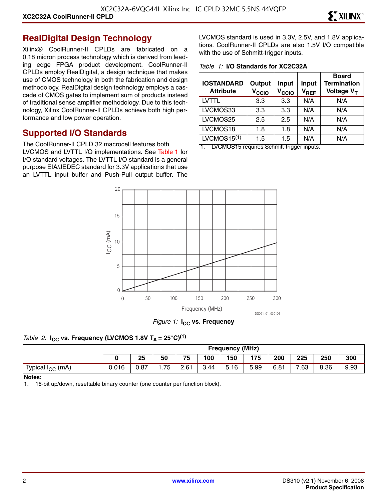#### **RealDigital Design Technology**

Xilinx® CoolRunner-II CPLDs are fabricated on a 0.18 micron process technology which is derived from leading edge FPGA product development. CoolRunner-II CPLDs employ RealDigital, a design technique that makes use of CMOS technology in both the fabrication and design methodology. RealDigital design technology employs a cascade of CMOS gates to implement sum of products instead of traditional sense amplifier methodology. Due to this technology, Xilinx CoolRunner-II CPLDs achieve both high performance and low power operation.

#### **Supported I/O Standards**

The CoolRunner-II CPLD 32 macrocell features both LVCMOS and LVTTL I/O implementations. See Table 1 for I/O standard voltages. The LVTTL I/O standard is a general purpose EIA/JEDEC standard for 3.3V applications that use an LVTTL input buffer and Push-Pull output buffer. The LVCMOS standard is used in 3.3V, 2.5V, and 1.8V applications. CoolRunner-II CPLDs are also 1.5V I/O compatible with the use of Schmitt-trigger inputs.

*Table 1:* **I/O Standards for XC2C32A**

| <b>IOSTANDARD</b><br><b>Attribute</b> | Output<br>V <sub>CCIO</sub> | Input<br>V <sub>CCIO</sub> | <b>Input</b><br>$V_{REF}$ | <b>Board</b><br><b>Termination</b><br>Voltage V <sub>T</sub> |
|---------------------------------------|-----------------------------|----------------------------|---------------------------|--------------------------------------------------------------|
| LVTTL                                 | 3.3                         | 3.3                        | N/A                       | N/A                                                          |
| LVCMOS33                              | 3.3                         | 3.3                        | N/A                       | N/A                                                          |
| LVCMOS25                              | $2.5\,$                     | 2.5                        | N/A                       | N/A                                                          |
| LVCMOS18                              | 1.8                         | 1.8                        | N/A                       | N/A                                                          |
| LVCMOS15 $(1)$                        | 1.5                         | 1.5                        | N/A                       | N/A                                                          |

1. LVCMOS15 requires Schmitt-trigger inputs.



*Figure 1:* **I<sub>CC</sub>** vs. Frequency

#### *Table 2:* **I<sub>CC</sub>** vs. Frequency (LVCMOS 1.8V T<sub>A</sub> = 25°C)<sup>(1)</sup>

|                              |       | <b>Frequency (MHz)</b> |     |      |      |                                  |      |      |      |      |      |
|------------------------------|-------|------------------------|-----|------|------|----------------------------------|------|------|------|------|------|
|                              |       | 25                     | 50  | 75   | 100  | 150                              | 175  | 200  | 225  | 250  | 300  |
| Typical I <sub>CC</sub> (mA) | 0.016 | 0.87                   | .75 | 2.61 | 3.44 | $\overline{\phantom{0}}$<br>5.16 | 5.99 | 6.81 | 7.63 | 8.36 | 9.93 |

#### **Notes:**

1. 16-bit up/down, resettable binary counter (one counter per function block).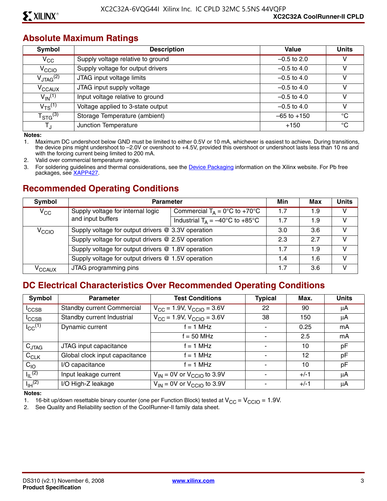#### **Absolute Maximum Ratings**

| Symbol                  | <b>Description</b>                | Value           | <b>Units</b> |
|-------------------------|-----------------------------------|-----------------|--------------|
| $V_{\rm CC}$            | Supply voltage relative to ground | $-0.5$ to 2.0   |              |
| V <sub>CCIO</sub>       | Supply voltage for output drivers | $-0.5$ to 4.0   |              |
| $V_{\text{JTAG}}^{(2)}$ | JTAG input voltage limits         | $-0.5$ to 4.0   |              |
| V <sub>CCAUX</sub>      | JTAG input supply voltage         | $-0.5$ to 4.0   | v            |
| $V_{\text{IN}}^{(1)}$   | Input voltage relative to ground  | $-0.5$ to 4.0   |              |
| $V_{TS}^{(1)}$          | Voltage applied to 3-state output | $-0.5$ to 4.0   |              |
| $T_{\text{STG}}^{(3)}$  | Storage Temperature (ambient)     | $-65$ to $+150$ | °C           |
| Т.,                     | Junction Temperature              | $+150$          | °C           |

**Notes:** 

1. Maximum DC undershoot below GND must be limited to either 0.5V or 10 mA, whichever is easiest to achieve. During transitions, the device pins might undershoot to –2.0V or overshoot to +4.5V, provided this overshoot or undershoot lasts less than 10 ns and with the forcing current being limited to 200 mA.

2. Valid over commercial temperature range.

3. For soldering guidelines and thermal considerations, see the [Device Packaging](http://www.xilinx.com/support/documentation/package_specifications.htm) information on the Xilinx website. For Pb free packages, see [XAPP427](http://www.xilinx.com/support/documentation/application_notes/xapp427.pdf).

#### **Recommended Operating Conditions**

| Symbol              | <b>Parameter</b>                                   |                                                   |     | Max | <b>Units</b> |
|---------------------|----------------------------------------------------|---------------------------------------------------|-----|-----|--------------|
| $V_{\rm CC}$        | Supply voltage for internal logic                  | Commercial $T_A = 0$ °C to +70°C                  | 1.7 | 1.9 | v            |
|                     | and input buffers                                  | Industrial $T_A = -40^{\circ}C$ to $+85^{\circ}C$ | 1.7 | 1.9 | v            |
| V <sub>CCIO</sub>   | Supply voltage for output drivers @ 3.3V operation |                                                   | 3.0 | 3.6 | V            |
|                     | Supply voltage for output drivers @ 2.5V operation |                                                   | 2.3 | 2.7 | V            |
|                     | Supply voltage for output drivers @ 1.8V operation |                                                   | 1.7 | 1.9 | V            |
|                     | Supply voltage for output drivers @ 1.5V operation |                                                   | 1.4 | 1.6 | V            |
| $\rm v_{\rm CCAUX}$ | JTAG programming pins                              |                                                   | 1.7 | 3.6 | v            |

#### **DC Electrical Characteristics Over Recommended Operating Conditions**

| <b>Symbol</b>           | <b>Parameter</b>                  | <b>Test Conditions</b>                     | <b>Typical</b> | Max.   | <b>Units</b> |
|-------------------------|-----------------------------------|--------------------------------------------|----------------|--------|--------------|
| <sup>I</sup> CCSB       | <b>Standby current Commercial</b> | $V_{\rm CC}$ = 1.9V, $V_{\rm CCIO}$ = 3.6V | 22             | 90     | μA           |
| $I_{\text{CCSB}}$       | Standby current Industrial        | $V_{CC}$ = 1.9V, $V_{CCIO}$ = 3.6V         | 38             | 150    | μA           |
| $I_{CC}$ <sup>(1)</sup> | Dynamic current                   | $f = 1 MHz$                                |                | 0.25   | mA           |
|                         |                                   | $f = 50$ MHz                               |                | 2.5    | mA           |
| $C_{JTAG}$              | JTAG input capacitance            | f = 1 MHz                                  |                | 10     | pF           |
| $C_{CLK}$               | Global clock input capacitance    | f = 1 MHz                                  |                | 12     | pF           |
| $C_{10}$                | I/O capacitance                   | $f = 1$ MHz                                |                | 10     | pF           |
| $I_{\parallel}$ (2)     | Input leakage current             | $V_{IN}$ = 0V or $V_{CClO}$ to 3.9V        |                | $+/-1$ | μA           |
| $I_{\text{IH}}^{(2)}$   | I/O High-Z leakage                | $V_{IN}$ = 0V or $V_{CClO}$ to 3.9V        |                | $+/-1$ | μA           |

**Notes:** 

1. 16-bit up/down resettable binary counter (one per Function Block) tested at  $V_{CC} = V_{CCIO} = 1.9V$ .<br>2. See Quality and Reliability section of the CoolRunner-II family data sheet.

See Quality and Reliability section of the CoolRunner-II family data sheet.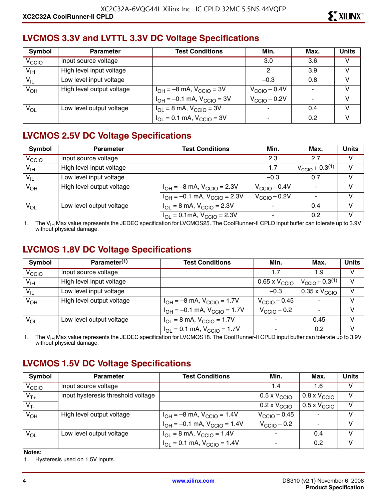## **LVCMOS 3.3V and LVTTL 3.3V DC Voltage Specifications**

| Symbol            | <b>Parameter</b>          | <b>Test Conditions</b>                                    | Min.                     | Max. | <b>Units</b> |
|-------------------|---------------------------|-----------------------------------------------------------|--------------------------|------|--------------|
| V <sub>CCIO</sub> | Input source voltage      |                                                           | 3.0                      | 3.6  | V            |
| $V_{\text{IH}}$   | High level input voltage  |                                                           | 2                        | 3.9  | v            |
| $V_{IL}$          | Low level input voltage   |                                                           | $-0.3$                   | 0.8  | V            |
| $V_{OH}$          | High level output voltage | $I_{OH} = -8$ mA, $V_{CClO} = 3V$                         | $V_{\text{CCIO}} - 0.4V$ |      | V            |
|                   |                           | $I_{OH} = -0.1$ mA, $V_{CClO} = 3V$                       | $V_{\text{CCIO}} - 0.2V$ |      | V            |
| VOL               | Low level output voltage  | $I_{OL}$ = 8 mA, $V_{CCIO}$ = 3V                          | ۰                        | 0.4  | v            |
|                   |                           | $I_{\text{OI}} = 0.1 \text{ mA}$ , $V_{\text{CCIO}} = 3V$ | ۰                        | 0.2  |              |

## **LVCMOS 2.5V DC Voltage Specifications**

| Symbol            | <b>Parameter</b>          | <b>Test Conditions</b>                                             | Min.                     | Max.                          | <b>Units</b> |
|-------------------|---------------------------|--------------------------------------------------------------------|--------------------------|-------------------------------|--------------|
| V <sub>CCIO</sub> | Input source voltage      |                                                                    | 2.3                      | 2.7                           | v            |
| $V_{\text{IH}}$   | High level input voltage  |                                                                    | 1.7                      | $V_{\text{CCIO}} + 0.3^{(1)}$ | V            |
| $V_{IL}$          | Low level input voltage   |                                                                    | $-0.3$                   | 0.7                           | V            |
| $V_{OH}$          | High level output voltage | $I_{OH} = -8$ mA, $V_{CGIO} = 2.3V$                                | $V_{\rm CClO}$ – 0.4V    |                               | v            |
|                   |                           | $I_{OH} = -0.1$ mA, $V_{CClO} = 2.3V$                              | $V_{\text{CCIO}} - 0.2V$ |                               | V            |
| $V_{OL}$          | Low level output voltage  | $I_{OL}$ = 8 mA, $V_{CCIO}$ = 2.3V                                 |                          | 0.4                           | V            |
|                   |                           | $I_{\text{OI}} = 0.1 \text{mA}$ , $V_{\text{CCIO}} = 2.3 \text{V}$ |                          | 0.2                           | $\mathsf{V}$ |

1. The V<sub>IH</sub> Max value represents the JEDEC specification for LVCMOS25. The CoolRunner-II CPLD input buffer can tolerate up to 3.9V without physical damage.

#### **LVCMOS 1.8V DC Voltage Specifications**

| Symbol            | Parameter <sup>(1)</sup>  | <b>Test Conditions</b>                | Min.                     | Max.                          | <b>Units</b> |
|-------------------|---------------------------|---------------------------------------|--------------------------|-------------------------------|--------------|
| V <sub>CCIO</sub> | Input source voltage      |                                       | 1.7                      | 1.9                           | v            |
| $V_{\text{IH}}$   | High level input voltage  |                                       | 0.65 x $\rm V_{\rm CCO}$ | $V_{\text{CCIO}} + 0.3^{(1)}$ | V            |
| $V_{IL}$          | Low level input voltage   |                                       | $-0.3$                   | $0.35 \times V_{\text{CCIO}}$ | $\mathsf{V}$ |
| $V_{OH}$          | High level output voltage | $I_{OH} = -8$ mA, $V_{CGIO} = 1.7V$   | $V_{\rm CClO}$ – 0.45    |                               | V            |
|                   |                           | $I_{OH} = -0.1$ mA, $V_{CCIO} = 1.7V$ | $V_{\rm CClO}$ – 0.2     |                               | V            |
| $V_{OL}$          | Low level output voltage  | $I_{OL} = 8$ mA, $V_{CCIO} = 1.7V$    |                          | 0.45                          | V            |
|                   |                           | $I_{OL} = 0.1$ mA, $V_{CCIO} = 1.7V$  | $\overline{\phantom{a}}$ | 0.2                           | V            |

1. The V<sub>IH</sub> Max value represents the JEDEC specification for LVCMOS18. The CoolRunner-II CPLD input buffer can tolerate up to 3.9V<br>without physical damage.

## **LVCMOS 1.5V DC Voltage Specifications**

| Symbol            | <b>Parameter</b>                   | <b>Test Conditions</b>                                               | Min.                         | Max.                         | <b>Units</b> |
|-------------------|------------------------------------|----------------------------------------------------------------------|------------------------------|------------------------------|--------------|
| V <sub>CCIO</sub> | Input source voltage               |                                                                      | 1.4                          | 1.6                          | v            |
| $V_{T+}$          | Input hysteresis threshold voltage |                                                                      | $0.5 \times V_{\text{CCIO}}$ | $0.8 \times V_{\text{CCIO}}$ | v            |
| $V_T$             |                                    |                                                                      | $0.2 \times V_{\text{CCIO}}$ | $0.5 \times V_{\text{CCIO}}$ | v            |
| $V_{OH}$          | High level output voltage          | $I_{OH} = -8$ mA, $V_{CCIO} = 1.4V$                                  | $V_{\text{CCIO}} - 0.45$     |                              | v            |
|                   |                                    | $I_{OH} = -0.1$ mA, $V_{CCIO} = 1.4V$                                | $V_{\rm CClO}$ – 0.2         |                              | V            |
| $V_{OL}$          | Low level output voltage           | $I_{\text{OI}} = 8 \text{ mA}$ , $V_{\text{CCIO}} = 1.4 \text{ V}$   |                              | 0.4                          | v            |
|                   |                                    | $I_{\text{OI}} = 0.1 \text{ mA}$ , $V_{\text{CCIO}} = 1.4 \text{ V}$ |                              | 0.2                          | v            |

#### **Notes:**

1. Hysteresis used on 1.5V inputs.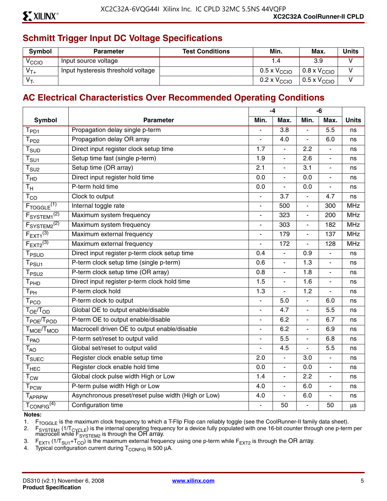## **Schmitt Trigger Input DC Voltage Specifications**

| <b>Symbol</b>     | <b>Parameter</b>                   | <b>Test Conditions</b> | Min.                         | Max.                         | <b>Units</b> |
|-------------------|------------------------------------|------------------------|------------------------------|------------------------------|--------------|
| <sup>V</sup> CCIO | Input source voltage               |                        |                              | 3.9                          |              |
| $V_{T+}$          | Input hysteresis threshold voltage |                        | $0.5 \times V_{\text{CCIO}}$ | $0.8 \times V_{\text{CCIO}}$ |              |
| $V_T$             |                                    |                        | $0.2 \times V_{\text{CCIO}}$ | $0.5 \times V_{\text{CCIO}}$ |              |

#### **AC Electrical Characteristics Over Recommended Operating Conditions**

|                                               |                                                     |                              | $-4$             |                          | $-6$                     |              |
|-----------------------------------------------|-----------------------------------------------------|------------------------------|------------------|--------------------------|--------------------------|--------------|
| <b>Symbol</b>                                 | <b>Parameter</b>                                    | Min.                         | Max.             | Min.                     | Max.                     | <b>Units</b> |
| $T_{PD1}$                                     | Propagation delay single p-term                     |                              | $\overline{3.8}$ | ÷,                       | $\overline{5.5}$         | ns           |
| T <sub>PD2</sub>                              | Propagation delay OR array                          |                              | 4.0              | $\overline{a}$           | 6.0                      | ns           |
| $T_{\scriptsize\text{SUD}}$                   | Direct input register clock setup time              | 1.7                          | $\blacksquare$   | 2.2                      | $\blacksquare$           | ns           |
| $\mathsf{T}_{\mathsf{S}\mathsf{U}\mathsf{1}}$ | Setup time fast (single p-term)                     | 1.9                          | $\blacksquare$   | 2.6                      | $\overline{\phantom{a}}$ | ns           |
| $T_{\text{SU2}}$                              | Setup time (OR array)                               | 2.1                          | $\overline{a}$   | 3.1                      | L.                       | ns           |
| T <sub>HD</sub>                               | Direct input register hold time                     | 0.0                          | ÷,               | 0.0                      | $\overline{\phantom{a}}$ | ns           |
| $T_{\rm H}$                                   | P-term hold time                                    | 0.0                          | $\overline{a}$   | 0.0                      | $\blacksquare$           | ns           |
| $T_{CO}$                                      | Clock to output                                     |                              | 3.7              | L.                       | 4.7                      | ns           |
| $F_{TOGGLE}$ <sup>(1)</sup>                   | Internal toggle rate                                | $\qquad \qquad \blacksquare$ | 500              | $\overline{\phantom{a}}$ | 300                      | <b>MHz</b>   |
| F <sub>SYSTEM1</sub> <sup>(2)</sup>           | Maximum system frequency                            | L.                           | 323              | $\overline{\phantom{a}}$ | 200                      | <b>MHz</b>   |
| F <sub>S</sub> YSTEM2 <sup>(2)</sup>          | Maximum system frequency                            |                              | 303              | $\overline{a}$           | 182                      | <b>MHz</b>   |
| $F_{\text{EXT}1}^{(3)}$                       | Maximum external frequency                          |                              | 179              | $\blacksquare$           | 137                      | <b>MHz</b>   |
| $F_{EXT2}^{(3)}$                              | Maximum external frequency                          | $\overline{a}$               | 172              | $\overline{\phantom{a}}$ | 128                      | <b>MHz</b>   |
| T <sub>PSUD</sub>                             | Direct input register p-term clock setup time       | 0.4                          | $\overline{a}$   | 0.9                      | $\overline{a}$           | ns           |
| $T_{PSU1}$                                    | P-term clock setup time (single p-term)             | 0.6                          | $\overline{a}$   | 1.3                      | $\blacksquare$           | ns           |
| $T_{PSU2}$                                    | P-term clock setup time (OR array)                  | 0.8                          | $\blacksquare$   | 1.8                      | $\overline{\phantom{a}}$ | ns           |
| $\mathsf{T}_{\mathsf{PHD}}$                   | Direct input register p-term clock hold time        | 1.5                          | $\blacksquare$   | 1.6                      | $\overline{\phantom{0}}$ | ns           |
| $\mathsf{T}_{\mathsf{PH}}$                    | P-term clock hold                                   | 1.3                          | ÷,               | 1.2                      | $\overline{a}$           | ns           |
| $\mathsf{T}_{\mathsf{PCO}}$                   | P-term clock to output                              | ÷,                           | 5.0              | $\blacksquare$           | 6.0                      | ns           |
| $T_{OE}/T_{OD}$                               | Global OE to output enable/disable                  |                              | 4.7              |                          | 5.5                      | ns           |
| T <sub>POE</sub> /T <sub>POD</sub>            | P-term OE to output enable/disable                  | $\overline{\phantom{a}}$     | 6.2              | $\blacksquare$           | 6.7                      | ns           |
| T <sub>MOE</sub> /T <sub>MOD</sub>            | Macrocell driven OE to output enable/disable        | $\overline{a}$               | 6.2              | $\blacksquare$           | 6.9                      | ns           |
| T <sub>PAO</sub>                              | P-term set/reset to output valid                    |                              | 5.5              |                          | 6.8                      | ns           |
| $T_{AO}$                                      | Global set/reset to output valid                    |                              | 4.5              | L.                       | 5.5                      | ns           |
| $T_{\text{SUEC}}$                             | Register clock enable setup time                    | 2.0                          | ÷.               | 3.0                      | $\blacksquare$           | ns           |
| $\mathsf{T}_{\mathsf{HEC}}$                   | Register clock enable hold time                     | 0.0                          | ÷,               | 0.0                      | ÷,                       | ns           |
| $T_{\text{CW}}$                               | Global clock pulse width High or Low                | 1.4                          | ÷,               | 2.2                      | ÷,                       | ns           |
| <b>T</b> <sub>PCW</sub>                       | P-term pulse width High or Low                      | 4.0                          | $\blacksquare$   | 6.0                      | $\overline{\phantom{a}}$ | ns           |
| <b>TAPRPW</b>                                 | Asynchronous preset/reset pulse width (High or Low) | 4.0                          | L.               | 6.0                      | $\blacksquare$           | ns           |
| $T_{\text{CONFIG}}^{(4)}$                     | Configuration time                                  |                              | 50               | $\overline{a}$           | 50                       | μs           |

#### **Notes:**

1. F<sub>TOGGLE</sub> is the maximum clock frequency to which a T-Flip Flop can reliably toggle (see the CoolRunner-II family data sheet).<br>2. F<sub>SYSTEM1</sub> (1/T<sub>CYCLE</sub>) is the internal operating frequency for a device fully populated

2. F<sub>SYSTEM1</sub> (1/T<sub>CYCLE</sub>) is the internal operating frequency for a device fully populated with one 16-bit counter through one p-term per macrocell while  $F_{\text{SYSTEM2}}$  is through the OR array.

3. F<sub>EXT1</sub> (1/T<sub>SU1</sub>+T<sub>CO</sub>) is the maximum external frequency using one p-term while F<sub>EXT2</sub> is through the OR array.<br>4. Typical configuration current during T<sub>CONFIG</sub> is 500 µA.

Typical configuration current during  $T_{\text{CONFIG}}$  is 500  $\mu$ A.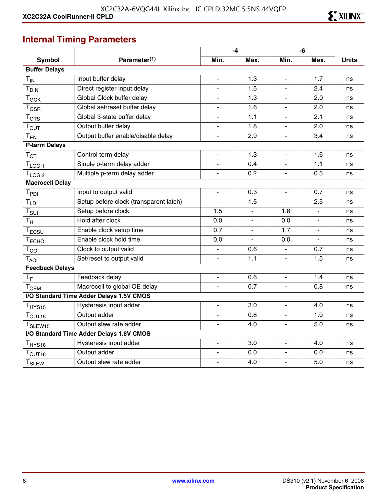## **Internal Timing Parameters**

|                              |                                          |                          | $-4$                     |                          | -6                       |              |
|------------------------------|------------------------------------------|--------------------------|--------------------------|--------------------------|--------------------------|--------------|
| <b>Symbol</b>                | Parameter <sup>(1)</sup>                 | Min.                     | Max.                     | Min.                     | Max.                     | <b>Units</b> |
| <b>Buffer Delays</b>         |                                          |                          |                          |                          |                          |              |
| $T_{IN}$                     | Input buffer delay                       | $\blacksquare$           | 1.3                      | $\overline{\phantom{0}}$ | 1.7                      | ns           |
| <b>T</b> <sub>DIN</sub>      | Direct register input delay              | $\blacksquare$           | 1.5                      | ÷.                       | 2.4                      | ns           |
| $T_{GCK}$                    | Global Clock buffer delay                |                          | 1.3                      |                          | 2.0                      | ns           |
| $T_{\rm GSR}$                | Global set/reset buffer delay            | $\overline{\phantom{a}}$ | 1.6                      | $\overline{\phantom{m}}$ | 2.0                      | ns           |
| $T_{\hbox{\scriptsize GTS}}$ | Global 3-state buffer delay              | $\overline{\phantom{a}}$ | 1.1                      | ٠                        | 2.1                      | ns           |
| T <sub>OUT</sub>             | Output buffer delay                      | $\overline{\phantom{a}}$ | 1.8                      | $\overline{\phantom{a}}$ | 2.0                      | ns           |
| $T_{EN}$                     | Output buffer enable/disable delay       | $\overline{\phantom{a}}$ | 2.9                      | L.                       | 3.4                      | ns           |
| P-term Delays                |                                          |                          |                          |                          |                          |              |
| $T_{CT}$                     | Control term delay                       | $\overline{\phantom{a}}$ | 1.3                      | $\overline{\phantom{m}}$ | 1.6                      | ns           |
| $T_{LOGI1}$                  | Single p-term delay adder                | $\blacksquare$           | 0.4                      | $\blacksquare$           | 1.1                      | ns           |
| $T_{LOGI2}$                  | Multiple p-term delay adder              | $\overline{\phantom{a}}$ | 0.2                      | $\blacksquare$           | 0.5                      | ns           |
| <b>Macrocell Delay</b>       |                                          |                          |                          |                          |                          |              |
| T <sub>PDI</sub>             | Input to output valid                    | $\blacksquare$           | 0.3                      |                          | 0.7                      | ns           |
| $T_{LDI}$                    | Setup before clock (transparent latch)   | $\blacksquare$           | 1.5                      | L.                       | 2.5                      | ns           |
| $T_{\text{SUI}}$             | Setup before clock                       | 1.5                      | $\overline{\phantom{a}}$ | 1.8                      | $\overline{\phantom{a}}$ | ns           |
| $\mathsf{T}_{\mathsf{HI}}$   | Hold after clock                         | $\overline{0.0}$         | $\overline{\phantom{a}}$ | 0.0                      | $\blacksquare$           | ns           |
| $T_{ECSU}$                   | Enable clock setup time                  | 0.7                      |                          | 1.7                      |                          | ns           |
| $T_{\sf ECHO}$               | Enable clock hold time                   | 0.0                      |                          | 0.0                      | $\blacksquare$           | ns           |
| $T_{COI}$                    | Clock to output valid                    | $\overline{\phantom{a}}$ | 0.6                      |                          | 0.7                      | ns           |
| $T_{\rm AOI}$                | Set/reset to output valid                | $\overline{\phantom{a}}$ | 1.1                      | ÷.                       | 1.5                      | ns           |
| <b>Feedback Delays</b>       |                                          |                          |                          |                          |                          |              |
| $T_F$                        | Feedback delay                           | $\blacksquare$           | 0.6                      | ä,                       | 1.4                      | ns           |
| <b>TOEM</b>                  | Macrocell to global OE delay             | $\blacksquare$           | 0.7                      | $\overline{\phantom{a}}$ | 0.8                      | ns           |
|                              | I/O Standard Time Adder Delays 1.5V CMOS |                          |                          |                          |                          |              |
| T <sub>HYS15</sub>           | Hysteresis input adder                   | $\overline{\phantom{a}}$ | 3.0                      | $\overline{\phantom{a}}$ | 4.0                      | ns           |
| T <sub>OUT15</sub>           | Output adder                             | $\overline{\phantom{a}}$ | 0.8                      | ÷.                       | 1.0                      | ns           |
| T <sub>SLEW15</sub>          | Output slew rate adder                   |                          | 4.0                      |                          | 5.0                      | ns           |
|                              | I/O Standard Time Adder Delays 1.8V CMOS |                          |                          |                          |                          |              |
| T <sub>HYS18</sub>           | Hysteresis input adder                   | $\blacksquare$           | 3.0                      | ä,                       | 4.0                      | ns           |
| T <sub>OUT18</sub>           | Output adder                             | $\overline{\phantom{a}}$ | 0.0                      | ÷.                       | 0.0                      | ns           |
| <b>T</b> <sub>SLEW</sub>     | Output slew rate adder                   |                          | 4.0                      | $\overline{a}$           | 5.0                      | ns           |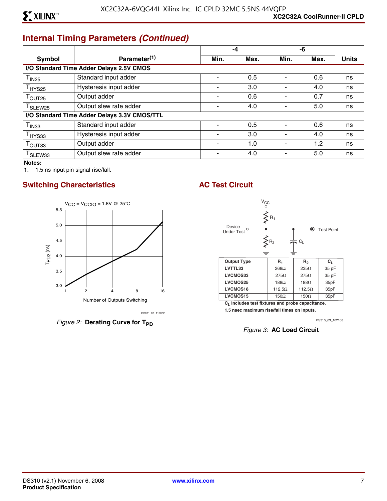## **Internal Timing Parameters** *(Continued)*

|                     |                                              | -4                       |      |      | -6   |              |  |
|---------------------|----------------------------------------------|--------------------------|------|------|------|--------------|--|
| <b>Symbol</b>       | Parameter <sup>(1)</sup>                     | Min.                     | Max. | Min. | Max. | <b>Units</b> |  |
|                     | I/O Standard Time Adder Delays 2.5V CMOS     |                          |      |      |      |              |  |
| $T_{1N25}$          | Standard input adder                         |                          | 0.5  |      | 0.6  | ns           |  |
| $T_{HYS25}$         | Hysteresis input adder                       | $\blacksquare$           | 3.0  |      | 4.0  | ns           |  |
| $T_{\text{OUT25}}$  | Output adder                                 | $\overline{\phantom{a}}$ | 0.6  |      | 0.7  | ns           |  |
| T <sub>SLEW25</sub> | Output slew rate adder                       |                          | 4.0  |      | 5.0  | ns           |  |
|                     | I/O Standard Time Adder Delays 3.3V CMOS/TTL |                          |      |      |      |              |  |
| T <sub>IN33</sub>   | Standard input adder                         |                          | 0.5  |      | 0.6  | ns           |  |
| $T_{HYS33}$         | Hysteresis input adder                       | $\overline{\phantom{0}}$ | 3.0  |      | 4.0  | ns           |  |
| T <sub>OUT33</sub>  | Output adder                                 | $\blacksquare$           | 1.0  |      | 1.2  | ns           |  |
| T <sub>SLEW33</sub> | Output slew rate adder                       |                          | 4.0  |      | 5.0  | ns           |  |

**Notes:** 

1. 1.5 ns input pin signal rise/fall.

#### **Switching Characteristics AC Test Circuit**



*Figure 2:* Derating Curve for T<sub>PD</sub>



**CL includes test fixtures and probe capacitance.** 

**1.5 nsec maximum rise/fall times on inputs.**

DS310\_03\_102108

*Figure 3:* **AC Load Circuit**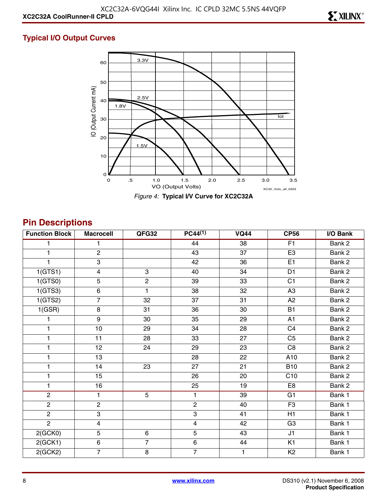#### **Typical I/O Output Curves**



## **Pin Descriptions**

| <b>Function Block</b> | <b>Macrocell</b>        | QFG32          | $PC44^{(1)}$          | <b>VQ44</b> | <b>CP56</b>       | I/O Bank |
|-----------------------|-------------------------|----------------|-----------------------|-------------|-------------------|----------|
|                       | 1                       |                | 44                    | 38          | F1                | Bank 2   |
| 1                     | $\overline{c}$          |                | 43                    | 37          | E <sub>3</sub>    | Bank 2   |
|                       | $\overline{\omega}$     |                | 42                    | 36          | E1                | Bank 2   |
| 1(GTS1)               | $\overline{4}$          | $\overline{3}$ | 40                    | 34          | D <sub>1</sub>    | Bank 2   |
| 1(GTS0)               | 5                       | $\overline{2}$ | 39                    | 33          | C <sub>1</sub>    | Bank 2   |
| 1(GTS3)               | $\,6\,$                 | 1              | 38                    | 32          | A <sub>3</sub>    | Bank 2   |
| 1(GTS2)               | $\overline{7}$          | 32             | 37                    | 31          | A <sub>2</sub>    | Bank 2   |
| 1(GSR)                | $\bf 8$                 | 31             | 36                    | 30          | <b>B1</b>         | Bank 2   |
|                       | $\boldsymbol{9}$        | 30             | 35                    | 29          | A1                | Bank 2   |
| 1                     | 10                      | 29             | 34                    | 28          | C <sub>4</sub>    | Bank 2   |
| 1                     | 11                      | 28             | 33                    | 27          | C <sub>5</sub>    | Bank 2   |
| 1                     | 12                      | 24             | 29                    | 23          | C <sub>8</sub>    | Bank 2   |
| 1                     | 13                      |                | 28                    | 22          | A10               | Bank 2   |
| 1                     | 14                      | 23             | 27                    | 21          | <b>B10</b>        | Bank 2   |
| 1                     | 15                      |                | 26                    | 20          | $\overline{C}$ 10 | Bank 2   |
| 1                     | 16                      |                | 25                    | 19          | E <sub>8</sub>    | Bank 2   |
| $\overline{2}$        | $\mathbf{1}$            | $\overline{5}$ | $\mathbf{1}$          | 39          | G1                | Bank 1   |
| $\overline{2}$        | $\mathbf{2}$            |                | $\mathbf{2}^{\prime}$ | 40          | F <sub>3</sub>    | Bank 1   |
| $\overline{2}$        | 3                       |                | 3                     | 41          | H1                | Bank 1   |
| $\overline{2}$        | $\overline{\mathbf{4}}$ |                | $\overline{4}$        | 42          | G <sub>3</sub>    | Bank 1   |
| 2(GCKO)               | 5                       | $\,6\,$        | 5                     | 43          | J1                | Bank 1   |
| 2(GCK1)               | $\,6$                   | $\overline{7}$ | $\,6\,$               | 44          | K <sub>1</sub>    | Bank 1   |
| 2(GCK2)               | $\overline{7}$          | 8              | $\overline{7}$        | 1           | K <sub>2</sub>    | Bank 1   |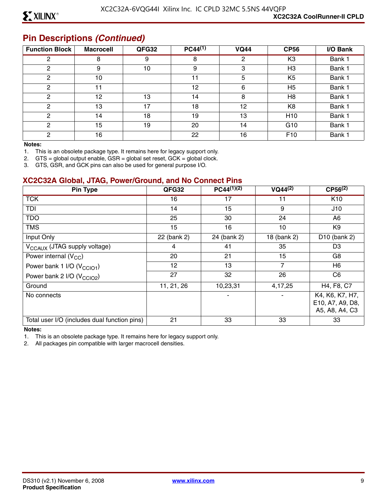#### **Pin Descriptions** *(Continued)*

| <b>Function Block</b> | <b>Macrocell</b> | QFG32 | $PC44^{(1)}$ | <b>VQ44</b> | <b>CP56</b>     | I/O Bank |
|-----------------------|------------------|-------|--------------|-------------|-----------------|----------|
| 2                     | 8                | 9     | 8            | 2           | K <sub>3</sub>  | Bank 1   |
| 2                     | 9                | 10    | 9            | 3           | H <sub>3</sub>  | Bank 1   |
| 2                     | 10               |       | 11           | 5           | K <sub>5</sub>  | Bank 1   |
| 2                     | 11               |       | 12           | 6           | H <sub>5</sub>  | Bank 1   |
| $\mathcal{P}$         | 12               | 13    | 14           | 8           | H <sub>8</sub>  | Bank 1   |
| 2                     | 13               | 17    | 18           | 12          | K <sub>8</sub>  | Bank 1   |
| 2                     | 14               | 18    | 19           | 13          | H <sub>10</sub> | Bank 1   |
| ◠                     | 15               | 19    | 20           | 14          | G <sub>10</sub> | Bank 1   |
| C                     | 16               |       | 22           | 16          | F <sub>10</sub> | Bank 1   |

#### **Notes:**

1. This is an obsolete package type. It remains here for legacy support only.

2. GTS = global output enable, GSR = global set reset, GCK = global clock.

3. GTS, GSR, and GCK pins can also be used for general purpose I/O.

#### **XC2C32A Global, JTAG, Power/Ground, and No Connect Pins**

| Pin Type                                     | QFG32       | $PC44^{(1)(2)}$ | $VQ44^{(2)}$ | $CP56^{(2)}$                                          |
|----------------------------------------------|-------------|-----------------|--------------|-------------------------------------------------------|
| <b>TCK</b>                                   | 16          | 17              | 11           | K <sub>10</sub>                                       |
| TDI                                          | 14          | 15              | 9            | J10                                                   |
| <b>TDO</b>                                   | 25          | 30              | 24           | A6                                                    |
| <b>TMS</b>                                   | 15          | 16              | 10           | K9                                                    |
| Input Only                                   | 22 (bank 2) | 24 (bank 2)     | 18 (bank 2)  | D <sub>10</sub> (bank 2)                              |
| V <sub>CCAUX</sub> (JTAG supply voltage)     | 4           | 41              | 35           | D <sub>3</sub>                                        |
| Power internal $(V_{CC})$                    | 20          | 21              | 15           | G8                                                    |
| Power bank 1 I/O (V <sub>CCIO1</sub> )       | 12          | 13              | 7            | H <sub>6</sub>                                        |
| Power bank 2 I/O (V <sub>CCIO2</sub> )       | 27          | 32              | 26           | C6                                                    |
| Ground                                       | 11, 21, 26  | 10,23,31        | 4,17,25      | H4, F8, C7                                            |
| No connects                                  |             |                 |              | K4, K6, K7, H7,<br>E10, A7, A9, D8,<br>A5, A8, A4, C3 |
| Total user I/O (includes dual function pins) | 21          | 33              | 33           | 33                                                    |

#### **Notes:**

1. This is an obsolete package type. It remains here for legacy support only.

2. All packages pin compatible with larger macrocell densities.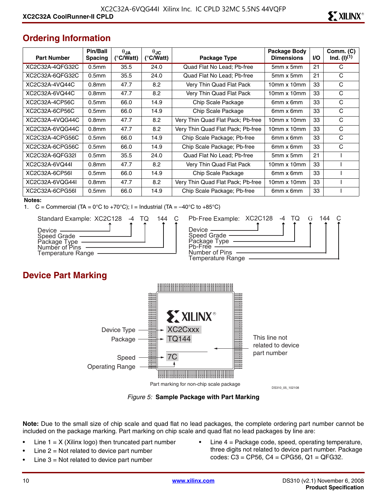## **Ordering Information**

| <b>Part Number</b> | Pin/Ball<br><b>Spacing</b> | $\theta$ JA<br>(°C/Watt) | $\theta$ JC<br>$(^{\circ}$ C/Watt) | Package Type                      | Package Body<br><b>Dimensions</b> | <b>I/O</b> | Comm. (C)<br>$Ind. (I)^{(1)}$ |
|--------------------|----------------------------|--------------------------|------------------------------------|-----------------------------------|-----------------------------------|------------|-------------------------------|
| XC2C32A-4QFG32C    | 0.5 <sub>mm</sub>          | 35.5                     | 24.0                               | Quad Flat No Lead; Pb-free        | 5mm x 5mm                         | 21         | C                             |
| XC2C32A-6QFG32C    | 0.5 <sub>mm</sub>          | 35.5                     | 24.0                               | Quad Flat No Lead; Pb-free        | $5mm \times 5mm$                  | 21         | C                             |
| XC2C32A-4VQ44C     | 0.8 <sub>mm</sub>          | 47.7                     | 8.2                                | Very Thin Quad Flat Pack          | $10mm \times 10mm$                | 33         | C                             |
| XC2C32A-6VQ44C     | 0.8 <sub>mm</sub>          | 47.7                     | 8.2                                | Very Thin Quad Flat Pack          | $10mm \times 10mm$                | 33         | C                             |
| XC2C32A-4CP56C     | 0.5 <sub>mm</sub>          | 66.0                     | 14.9                               | Chip Scale Package                | 6mm x 6mm                         | 33         | C                             |
| XC2C32A-6CP56C     | 0.5 <sub>mm</sub>          | 66.0                     | 14.9                               | Chip Scale Package                | 6mm x 6mm                         | 33         | C                             |
| XC2C32A-4VQG44C    | 0.8 <sub>mm</sub>          | 47.7                     | 8.2                                | Very Thin Quad Flat Pack; Pb-free | $10mm \times 10mm$                | 33         | C                             |
| XC2C32A-6VQG44C    | 0.8 <sub>mm</sub>          | 47.7                     | 8.2                                | Very Thin Quad Flat Pack; Pb-free | $10mm \times 10mm$                | 33         | C                             |
| XC2C32A-4CPG56C    | 0.5 <sub>mm</sub>          | 66.0                     | 14.9                               | Chip Scale Package; Pb-free       | 6mm x 6mm                         | 33         | С                             |
| XC2C32A-6CPG56C    | 0.5 <sub>mm</sub>          | 66.0                     | 14.9                               | Chip Scale Package; Pb-free       | 6mm x 6mm                         | 33         | C                             |
| XC2C32A-6OFG32L    | 0.5 <sub>mm</sub>          | 35.5                     | 24.0                               | Quad Flat No Lead; Pb-free        | $5mm \times 5mm$                  | 21         |                               |
| XC2C32A-6VQ44I     | 0.8 <sub>mm</sub>          | 47.7                     | 8.2                                | Very Thin Quad Flat Pack          | $10mm \times 10mm$                | 33         |                               |
| XC2C32A-6CP56L     | 0.5 <sub>mm</sub>          | 66.0                     | 14.9                               | Chip Scale Package                | 6mm x 6mm                         | 33         |                               |
| XC2C32A-6VQG44I    | 0.8 <sub>mm</sub>          | 47.7                     | 8.2                                | Very Thin Quad Flat Pack; Pb-free | $10mm \times 10mm$                | 33         |                               |
| XC2C32A-6CPG56I    | 0.5 <sub>mm</sub>          | 66.0                     | 14.9                               | Chip Scale Package; Pb-free       | 6mm x 6mm                         | 33         |                               |

#### **Notes:**

1.  $C =$  Commercial (TA = 0°C to +70°C); I = Industrial (TA =  $-40^{\circ}$ C to +85°C)



| 144 | Pb-Free Example: XC2C128 -4 TQ                |  |  | 144 |  |
|-----|-----------------------------------------------|--|--|-----|--|
|     | Device $\_\_$                                 |  |  |     |  |
|     | Speed Grade —<br>Package Type ——<br>Ph-Free - |  |  |     |  |
|     | Number of Pins                                |  |  |     |  |
|     | Temperature Range                             |  |  |     |  |

## **Device Part Marking**



*Figure 5:* **Sample Package with Part Marking**

**Note:** Due to the small size of chip scale and quad flat no lead packages, the complete ordering part number cannot be included on the package marking. Part marking on chip scale and quad flat no lead packages by line are:

- Line  $1 = X$  (Xilinx logo) then truncated part number
- Line  $2 = Not$  related to device part number
- Line  $3$  = Not related to device part number
- Line  $4$  = Package code, speed, operating temperature, three digits not related to device part number. Package codes: C3 = CP56, C4 = CPG56, Q1 = QFG32.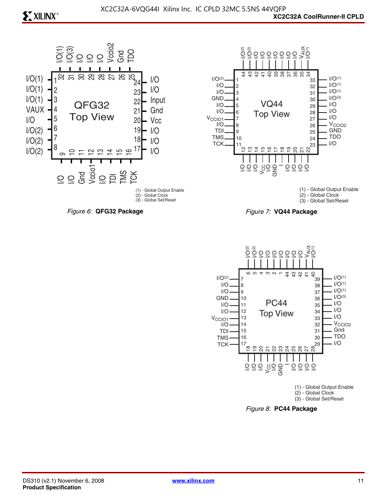



(1) - Global Output Enable (2) - Global Clock (3) - Global Set/Reset





*Figure 8:* **PC44 Package**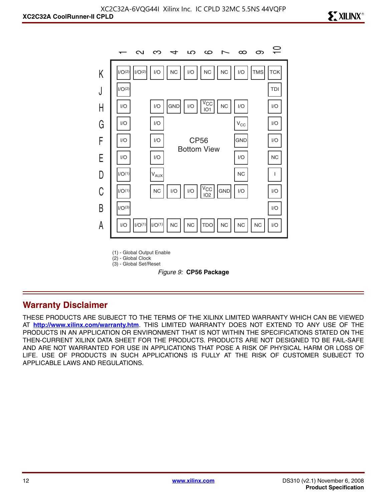

(1) - Global Output Enable

(2) - Global Clock (3) - Global Set/Reset

*Figure 9:* **CP56 Package**

#### **Warranty Disclaimer**

THESE PRODUCTS ARE SUBJECT TO THE TERMS OF THE XILINX LIMITED WARRANTY WHICH CAN BE VIEWED AT **<http://www.xilinx.com/warranty.htm>**. THIS LIMITED WARRANTY DOES NOT EXTEND TO ANY USE OF THE PRODUCTS IN AN APPLICATION OR ENVIRONMENT THAT IS NOT WITHIN THE SPECIFICATIONS STATED ON THE THEN-CURRENT XILINX DATA SHEET FOR THE PRODUCTS. PRODUCTS ARE NOT DESIGNED TO BE FAIL-SAFE AND ARE NOT WARRANTED FOR USE IN APPLICATIONS THAT POSE A RISK OF PHYSICAL HARM OR LOSS OF LIFE. USE OF PRODUCTS IN SUCH APPLICATIONS IS FULLY AT THE RISK OF CUSTOMER SUBJECT TO APPLICABLE LAWS AND REGULATIONS.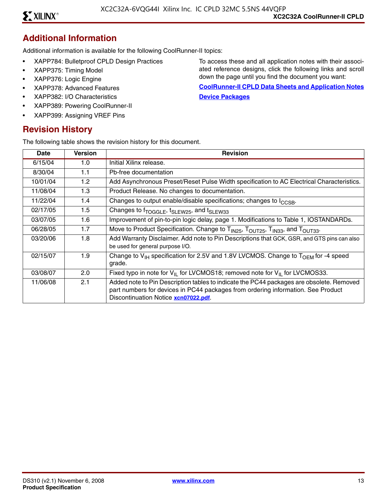#### **Additional Information**

Additional information is available for the following CoolRunner-II topics:

- XAPP784: Bulletproof CPLD Design Practices
- XAPP375: Timing Model
- XAPP376: Logic Engine
- XAPP378: Advanced Features
- XAPP382: I/O Characteristics
- XAPP389: Powering CoolRunner-II
- XAPP399: Assigning VREF Pins

#### **Revision History**

The following table shows the revision history for this document.

To access these and all application notes with their associated reference designs, click the following links and scroll down the page until you find the document you want:

**[CoolRunner-II CPLD Data Sheets and Application Notes](http://www.xilinx.com/support/documentation/coolrunner-ii.htm) [Device Packages](http://www.xilinx.com/support/documentation/package_specifications.htm)**

| Date     | <b>Version</b> | <b>Revision</b>                                                                                                                                                                                                      |
|----------|----------------|----------------------------------------------------------------------------------------------------------------------------------------------------------------------------------------------------------------------|
| 6/15/04  | 1.0            | Initial Xilinx release.                                                                                                                                                                                              |
| 8/30/04  | 1.1            | Pb-free documentation                                                                                                                                                                                                |
| 10/01/04 | 1.2            | Add Asynchronous Preset/Reset Pulse Width specification to AC Electrical Characteristics.                                                                                                                            |
| 11/08/04 | 1.3            | Product Release. No changes to documentation.                                                                                                                                                                        |
| 11/22/04 | 1.4            | Changes to output enable/disable specifications; changes to I <sub>CCSB</sub> .                                                                                                                                      |
| 02/17/05 | 1.5            | Changes to f <sub>TOGGLE</sub> , t <sub>SLEW25</sub> , and t <sub>SLEW33</sub>                                                                                                                                       |
| 03/07/05 | 1.6            | Improvement of pin-to-pin logic delay, page 1. Modifications to Table 1, IOSTANDARDs.                                                                                                                                |
| 06/28/05 | 1.7            | Move to Product Specification. Change to T <sub>IN25</sub> , T <sub>OUT25</sub> , T <sub>IN33</sub> , and T <sub>OUT33</sub> .                                                                                       |
| 03/20/06 | 1.8            | Add Warranty Disclaimer. Add note to Pin Descriptions that GCK, GSR, and GTS pins can also<br>be used for general purpose I/O.                                                                                       |
| 02/15/07 | 1.9            | Change to $V_{H}$ specification for 2.5V and 1.8V LVCMOS. Change to $T_{OFM}$ for -4 speed<br>grade.                                                                                                                 |
| 03/08/07 | 2.0            | Fixed typo in note for $V_{II}$ for LVCMOS18; removed note for $V_{II}$ for LVCMOS33.                                                                                                                                |
| 11/06/08 | 2.1            | Added note to Pin Description tables to indicate the PC44 packages are obsolete. Removed<br>part numbers for devices in PC44 packages from ordering information. See Product<br>Discontinuation Notice xcn07022.pdf. |